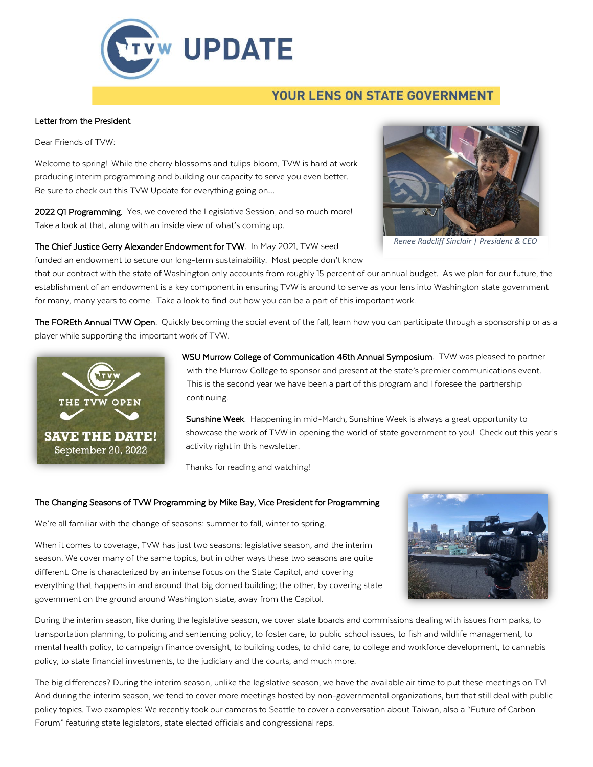

## **YOUR LENS ON STATE GOVERNMENT**

## Letter from the President

Dear Friends of TVW:

Welcome to spring! While the cherry blossoms and tulips bloom, TVW is hard at work producing interim programming and building our capacity to serve you even better. Be sure to check out this TVW Update for everything going on…

2022 Q1 Programming. Yes, we covered the Legislative Session, and so much more! Take a look at that, along with an inside view of what's coming up.

The Chief Justice Gerry Alexander Endowment for TVW. In May 2021, TVW seed funded an endowment to secure our long-term sustainability. Most people don't know

that our contract with the state of Washington only accounts from roughly 15 percent of our annual budget. As we plan for our future, the establishment of an endowment is a key component in ensuring TVW is around to serve as your lens into Washington state government for many, many years to come. Take a look to find out how you can be a part of this important work.

The FOREth Annual TVW Open. Quickly becoming the social event of the fall, learn how you can participate through a sponsorship or as a player while supporting the important work of TVW.



WSU Murrow College of Communication 46th Annual Symposium. TVW was pleased to partner with the Murrow College to sponsor and present at the state's premier communications event. This is the second year we have been a part of this program and I foresee the partnership continuing.

Sunshine Week. Happening in mid-March, Sunshine Week is always a great opportunity to showcase the work of TVW in opening the world of state government to you! Check out this year's activity right in this newsletter.

Thanks for reading and watching!

## The Changing Seasons of TVW Programming by Mike Bay, Vice President for Programming

We're all familiar with the change of seasons: summer to fall, winter to spring.



When it comes to coverage, TVW has just two seasons: legislative season, and the interim season. We cover many of the same topics, but in other ways these two seasons are quite different. One is characterized by an intense focus on the State Capitol, and covering everything that happens in and around that big domed building; the other, by covering state government on the ground around Washington state, away from the Capitol.

During the interim season, like during the legislative season, we cover state boards and commissions dealing with issues from parks, to transportation planning, to policing and sentencing policy, to foster care, to public school issues, to fish and wildlife management, to mental health policy, to campaign finance oversight, to building codes, to child care, to college and workforce development, to cannabis policy, to state financial investments, to the judiciary and the courts, and much more.

The big differences? During the interim season, unlike the legislative season, we have the available air time to put these meetings on TV! And during the interim season, we tend to cover more meetings hosted by non-governmental organizations, but that still deal with public policy topics. Two examples: We recently took our cameras to Seattle to cover a conversation about Taiwan, also a "Future of Carbon Forum" featuring state legislators, state elected officials and congressional reps.



*Renee Radcliff Sinclair | President & CEO*